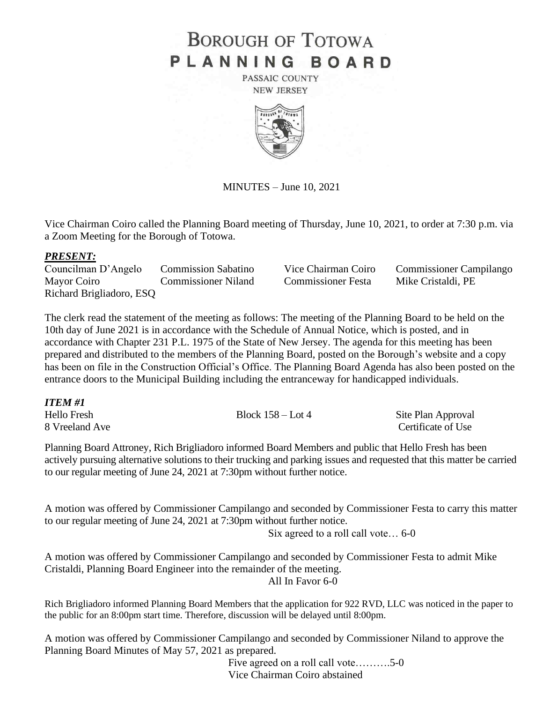## **BOROUGH OF TOTOWA** PLANNING BOARD

PASSAIC COUNTY **NEW JERSEY** 



MINUTES – June 10, 2021

Vice Chairman Coiro called the Planning Board meeting of Thursday, June 10, 2021, to order at 7:30 p.m. via a Zoom Meeting for the Borough of Totowa.

## *PRESENT:*

Councilman D'Angelo Commission Sabatino Vice Chairman Coiro Commissioner Campilango Mayor Coiro Commissioner Niland Commissioner Festa Mike Cristaldi, PE Richard Brigliadoro, ESQ

The clerk read the statement of the meeting as follows: The meeting of the Planning Board to be held on the 10th day of June 2021 is in accordance with the Schedule of Annual Notice, which is posted, and in accordance with Chapter 231 P.L. 1975 of the State of New Jersey. The agenda for this meeting has been prepared and distributed to the members of the Planning Board, posted on the Borough's website and a copy has been on file in the Construction Official's Office. The Planning Board Agenda has also been posted on the entrance doors to the Municipal Building including the entranceway for handicapped individuals.

| ITEM #1        |                     |                    |
|----------------|---------------------|--------------------|
| Hello Fresh    | Block $158 -$ Lot 4 | Site Plan Approval |
| 8 Vreeland Ave |                     | Certificate of Use |

Planning Board Attroney, Rich Brigliadoro informed Board Members and public that Hello Fresh has been actively pursuing alternative solutions to their trucking and parking issues and requested that this matter be carried to our regular meeting of June 24, 2021 at 7:30pm without further notice.

A motion was offered by Commissioner Campilango and seconded by Commissioner Festa to carry this matter to our regular meeting of June 24, 2021 at 7:30pm without further notice.

Six agreed to a roll call vote… 6-0

A motion was offered by Commissioner Campilango and seconded by Commissioner Festa to admit Mike Cristaldi, Planning Board Engineer into the remainder of the meeting. All In Favor 6-0

Rich Brigliadoro informed Planning Board Members that the application for 922 RVD, LLC was noticed in the paper to the public for an 8:00pm start time. Therefore, discussion will be delayed until 8:00pm.

A motion was offered by Commissioner Campilango and seconded by Commissioner Niland to approve the Planning Board Minutes of May 57, 2021 as prepared.

Five agreed on a roll call vote……….5-0 Vice Chairman Coiro abstained